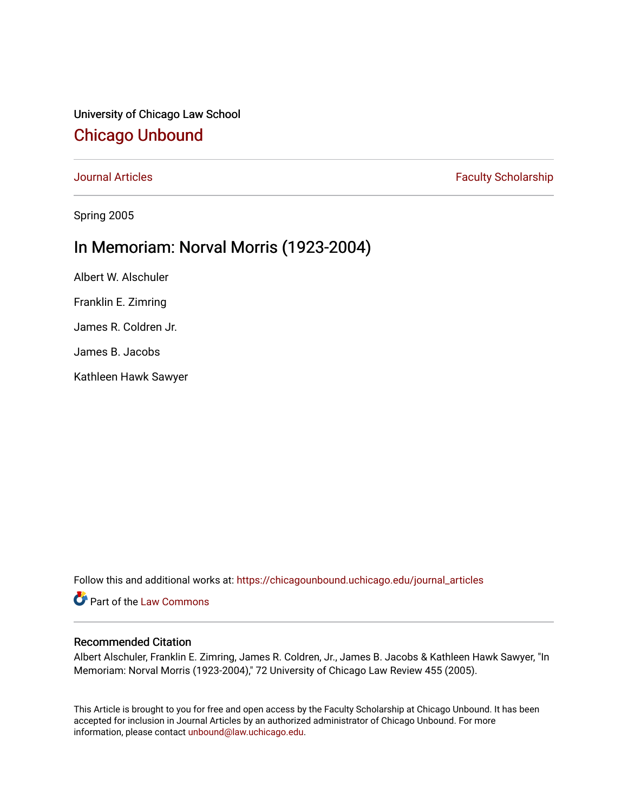University of Chicago Law School [Chicago Unbound](https://chicagounbound.uchicago.edu/)

[Journal Articles](https://chicagounbound.uchicago.edu/journal_articles) **Faculty Scholarship Journal Articles** 

Spring 2005

## In Memoriam: Norval Morris (1923-2004)

Albert W. Alschuler Franklin E. Zimring James R. Coldren Jr. James B. Jacobs Kathleen Hawk Sawyer

Follow this and additional works at: [https://chicagounbound.uchicago.edu/journal\\_articles](https://chicagounbound.uchicago.edu/journal_articles?utm_source=chicagounbound.uchicago.edu%2Fjournal_articles%2F295&utm_medium=PDF&utm_campaign=PDFCoverPages) 

Part of the [Law Commons](http://network.bepress.com/hgg/discipline/578?utm_source=chicagounbound.uchicago.edu%2Fjournal_articles%2F295&utm_medium=PDF&utm_campaign=PDFCoverPages)

#### Recommended Citation

Albert Alschuler, Franklin E. Zimring, James R. Coldren, Jr., James B. Jacobs & Kathleen Hawk Sawyer, "In Memoriam: Norval Morris (1923-2004)," 72 University of Chicago Law Review 455 (2005).

This Article is brought to you for free and open access by the Faculty Scholarship at Chicago Unbound. It has been accepted for inclusion in Journal Articles by an authorized administrator of Chicago Unbound. For more information, please contact [unbound@law.uchicago.edu](mailto:unbound@law.uchicago.edu).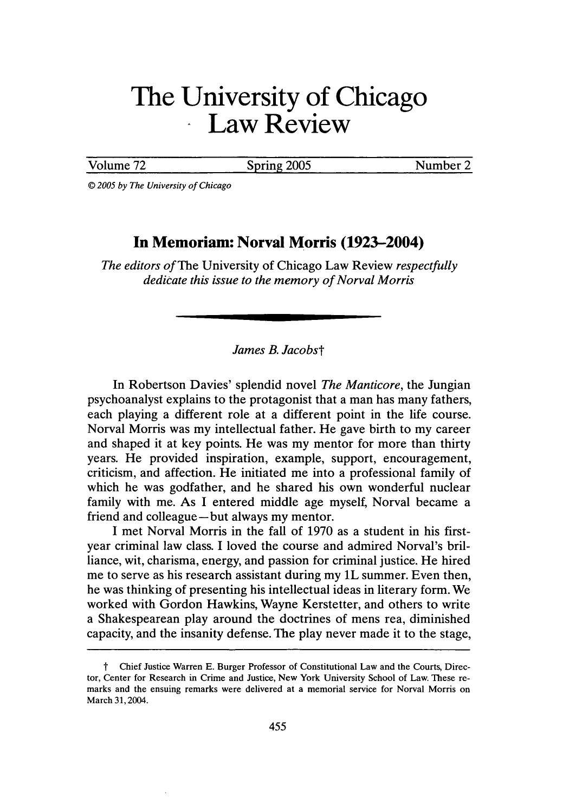# **The University of Chicago** Law Review

Volume 72 Spring 2005 Number 2

*© 2005 by The University of Chicago*

### **In Memoriam: Norval Morris (1923-2004)**

*The editors of The* University of Chicago Law Review *respectfully dedicate this issue to the memory of Norval Morris*

#### *James B. Jacobst*

In Robertson Davies' splendid novel *The Manticore,* the Jungian psychoanalyst explains to the protagonist that a man has many fathers, each playing a different role at a different point in the life course. Norval Morris was my intellectual father. He gave birth to my career and shaped it at key points. He was my mentor for more than thirty years. He provided inspiration, example, support, encouragement, criticism, and affection. He initiated me into a professional family of which he was godfather, and he shared his own wonderful nuclear family with me. As I entered middle age myself, Norval became a friend and colleague-but always my mentor.

I met Norval Morris in the fall of 1970 as a student in his firstyear criminal law class. I loved the course and admired Norval's brilliance, wit, charisma, energy, and passion for criminal justice. He hired me to serve as his research assistant during my IL summer. Even then, he was thinking of presenting his intellectual ideas in literary form. We worked with Gordon Hawkins, Wayne Kerstetter, and others to write a Shakespearean play around the doctrines of mens rea, diminished capacity, and the insanity defense. The play never made it to the stage,

t Chief Justice Warren E. Burger Professor of Constitutional Law and the Courts, Director, Center for Research in Crime and Justice, New York University School of Law. These remarks and the ensuing remarks were delivered at a memorial service for Norval Morris on March 31,2004.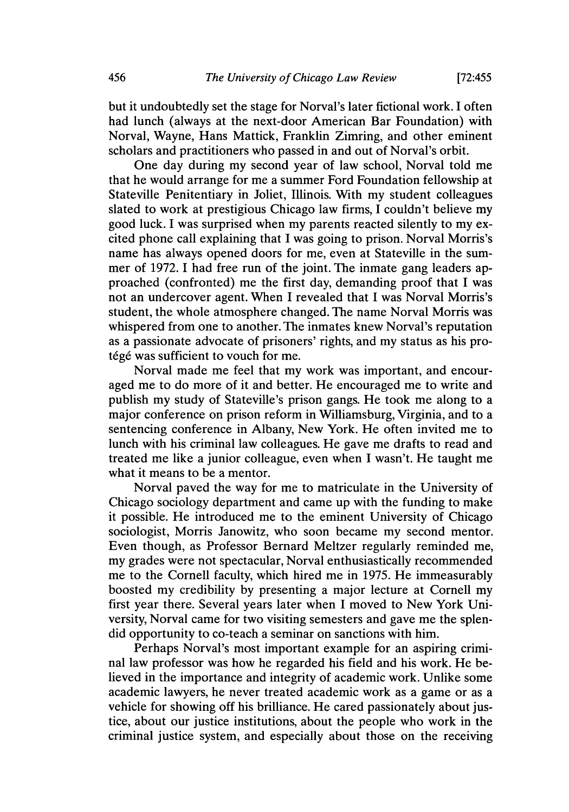**[72:455**

but it undoubtedly set the stage for Norval's later fictional work. I often had lunch (always at the next-door American Bar Foundation) with Norval, Wayne, Hans Mattick, Franklin Zimring, and other eminent scholars and practitioners who passed in and out of Norval's orbit.

One day during my second year of law school, Norval told me that he would arrange for me a summer Ford Foundation fellowship at Stateville Penitentiary in Joliet, Illinois. With my student colleagues slated to work at prestigious Chicago law firms, I couldn't believe my good luck. I was surprised when my parents reacted silently to my excited phone call explaining that I was going to prison. Norval Morris's name has always opened doors for me, even at Stateville in the summer of 1972. I had free run of the joint. The inmate gang leaders approached (confronted) me the first day, demanding proof that I was not an undercover agent. When I revealed that I was Norval Morris's student, the whole atmosphere changed. The name Norval Morris was whispered from one to another. The inmates knew Norval's reputation as a passionate advocate of prisoners' rights, and my status as his pro*tégé* was sufficient to vouch for me.

Norval made me feel that my work was important, and encouraged me to do more of it and better. He encouraged me to write and publish my study of Stateville's prison gangs. He took me along to a major conference on prison reform in Williamsburg, Virginia, and to a sentencing conference in Albany, New York. He often invited me to lunch with his criminal law colleagues. He gave me drafts to read and treated me like a junior colleague, even when I wasn't. He taught me what it means to be a mentor.

Norval paved the way for me to matriculate in the University of Chicago sociology department and came up with the funding to make it possible. He introduced me to the eminent University of Chicago sociologist, Morris Janowitz, who soon became my second mentor. Even though, as Professor Bernard Meltzer regularly reminded me, my grades were not spectacular, Norval enthusiastically recommended me to the Cornell faculty, which hired me in 1975. He immeasurably boosted my credibility by presenting a major lecture at Cornell my first year there. Several years later when I moved to New York University, Norval came for two visiting semesters and gave me the splendid opportunity to co-teach a seminar on sanctions with him.

Perhaps Norval's most important example for an aspiring criminal law professor was how he regarded his field and his work. He believed in the importance and integrity of academic work. Unlike some academic lawyers, he never treated academic work as a game or as a vehicle for showing off his brilliance. He cared passionately about justice, about our justice institutions, about the people who work in the criminal justice system, and especially about those on the receiving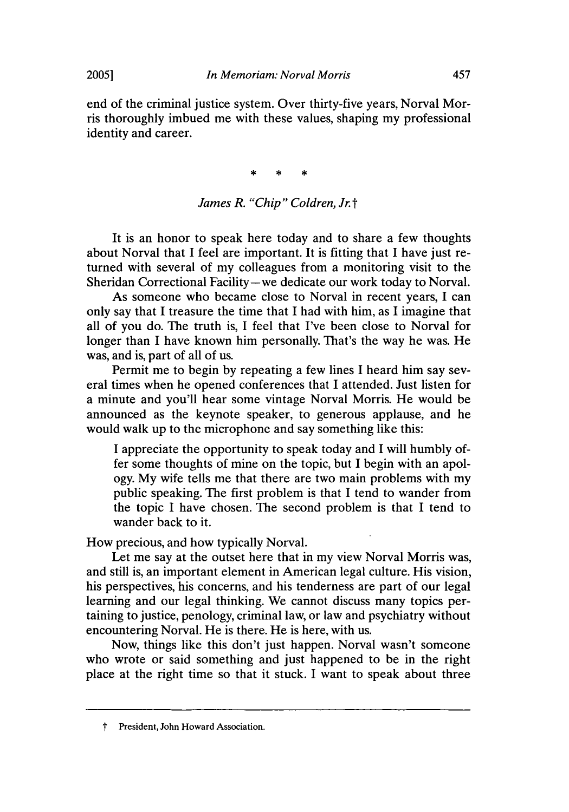end of the criminal justice system. Over thirty-five years, Norval Morris thoroughly imbued me with these values, shaping my professional identity and career.

> $\star$ ×

#### *James R. "Chip" Coldren, Jr.* t

It is an honor to speak here today and to share a few thoughts about Norval that I feel are important. It is fitting that I have just returned with several of my colleagues from a monitoring visit to the Sheridan Correctional Facility-we dedicate our work today to Norval.

As someone who became close to Norval in recent years, I can only say that I treasure the time that I had with him, as I imagine that all of you do. The truth is, I feel that I've been close to Norval for longer than I have known him personally. That's the way he was. He was, and is, part of all of us.

Permit me to begin by repeating a few lines I heard him say several times when he opened conferences that I attended. Just listen for a minute and you'll hear some vintage Norval Morris. He would be announced as the keynote speaker, to generous applause, and he would walk up to the microphone and say something like this:

I appreciate the opportunity to speak today and I will humbly offer some thoughts of mine on the topic, but I begin with an apology. My wife tells me that there are two main problems with my public speaking. The first problem is that I tend to wander from the topic I have chosen. The second problem is that I tend to wander back to it.

How precious, and how typically Norval.

Let me say at the outset here that in my view Norval Morris was, and still is, an important element in American legal culture. His vision, his perspectives, his concerns, and his tenderness are part of our legal learning and our legal thinking. We cannot discuss many topics pertaining to justice, penology, criminal law, or law and psychiatry without encountering Norval. He is there. He is here, with us.

Now, things like this don't just happen. Norval wasn't someone who wrote or said something and just happened to be in the right place at the right time so that it stuck. I want to speak about three

**2005]**

t President, John Howard Association.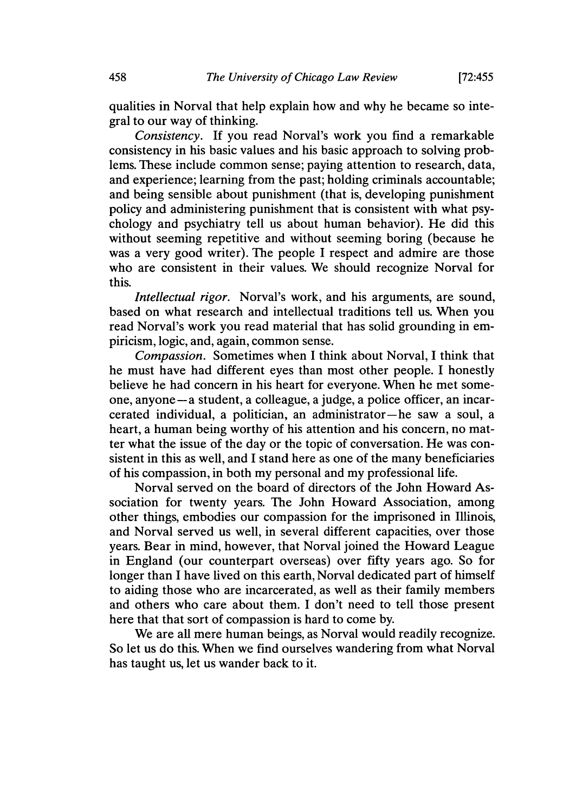qualities in Norval that help explain how and why he became so integral to our way of thinking.

*Consistency.* If you read Norval's work you find a remarkable consistency in his basic values and his basic approach to solving problems. These include common sense; paying attention to research, data, and experience; learning from the past; holding criminals accountable; and being sensible about punishment (that is, developing punishment policy and administering punishment that is consistent with what psychology and psychiatry tell us about human behavior). He did this without seeming repetitive and without seeming boring (because he was a very good writer). The people I respect and admire are those who are consistent in their values. We should recognize Norval for this.

*Intellectual rigor.* Norval's work, and his arguments, are sound, based on what research and intellectual traditions tell us. When you read Norval's work you read material that has solid grounding in empiricism, logic, and, again, common sense.

*Compassion.* Sometimes when I think about Norval, I think that he must have had different eyes than most other people. I honestly believe he had concern in his heart for everyone. When he met someone, anyone-a student, a colleague, a judge, a police officer, an incarcerated individual, a politician, an administrator-he saw a soul, a heart, a human being worthy of his attention and his concern, no matter what the issue of the day or the topic of conversation. He was consistent in this as well, and I stand here as one of the many beneficiaries of his compassion, in both my personal and my professional life.

Norval served on the board of directors of the John Howard Association for twenty years. The John Howard Association, among other things, embodies our compassion for the imprisoned in Illinois, and Norval served us well, in several different capacities, over those years. Bear in mind, however, that Norval joined the Howard League in England (our counterpart overseas) over fifty years ago. So for longer than I have lived on this earth, Norval dedicated part of himself to aiding those who are incarcerated, as well as their family members and others who care about them. I don't need to tell those present here that that sort of compassion is hard to come by.

We are all mere human beings, as Norval would readily recognize. So let us do this. When we find ourselves wandering from what Norval has taught us, let us wander back to it.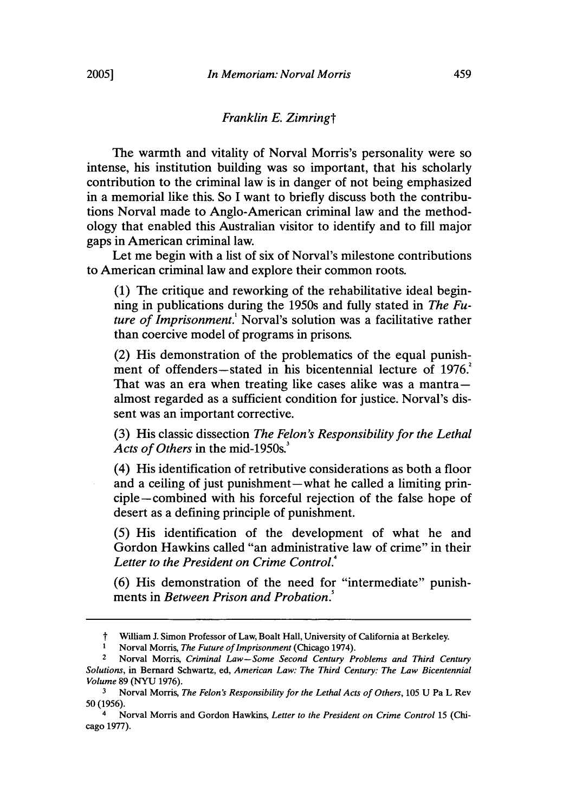#### *Franklin E. Zimringt*

The warmth and vitality of Norval Morris's personality were so intense, his institution building was so important, that his scholarly contribution to the criminal law is in danger of not being emphasized in a memorial like this. So I want to briefly discuss both the contributions Norval made to Anglo-American criminal law and the methodology that enabled this Australian visitor to identify and to fill major gaps in American criminal law.

Let me begin with a list of six of Norval's milestone contributions to American criminal law and explore their common roots.

(1) The critique and reworking of the rehabilitative ideal beginning in publications during the 1950s and fully stated in *The Future of Imprisonment.'* Norval's solution was a facilitative rather than coercive model of programs in prisons.

(2) His demonstration of the problematics of the equal punishment of offenders—stated in his bicentennial lecture of 1976. That was an era when treating like cases alike was a mantra $$ almost regarded as a sufficient condition for justice. Norval's dissent was an important corrective.

(3) His classic dissection *The Felon's Responsibility for the Lethal* Acts of Others in the mid-1950s.<sup>3</sup>

(4) His identification of retributive considerations as both a floor and a ceiling of just punishment-what he called a limiting principle-combined with his forceful rejection of the false hope of desert as a defining principle of punishment.

(5) His identification of the development of what he and Gordon Hawkins called "an administrative law of crime" in their Letter to the President on Crime Control.<sup>4</sup>

(6) His demonstration of the need for "intermediate" punishments in *Between Prison and Probation*.<sup>5</sup>

William J. Simon Professor of Law, Boalt Hall, University of California at Berkeley.

**<sup>I</sup>**Norval Morris, *The Future of Imprisonment* (Chicago 1974).

<sup>2</sup>Norval Morris, *Criminal Law-Some Second Century Problems and Third Century Solutions,* in Bernard Schwartz, ed, *American Law: The Third Century: The Law Bicentennial Volume* 89 (NYU 1976).

<sup>3</sup>Norval Morris, *The Felon's Responsibility for the Lethal Acts of Others,* 105 U Pa L Rev 50 (1956).

<sup>4</sup> Norval Morris and Gordon Hawkins, *Letter to the President on Crime Control* 15 (Chicago 1977).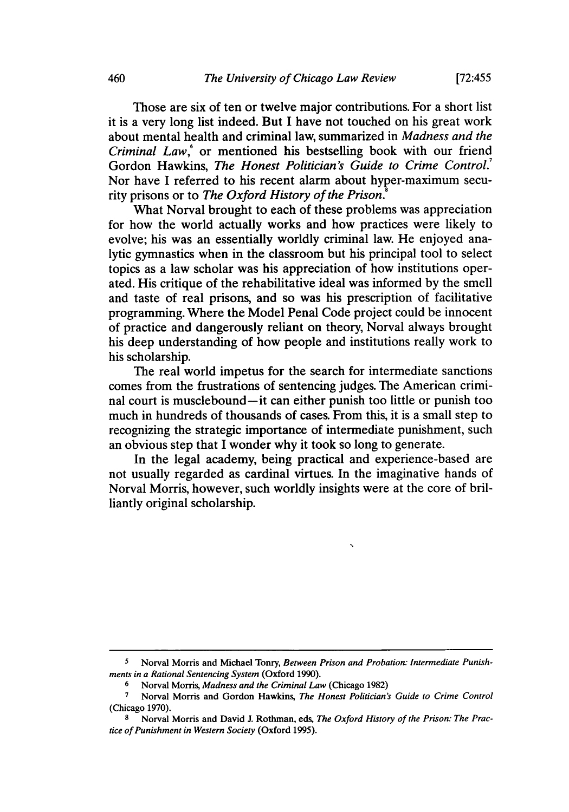**[72:455**

Those are six of ten or twelve major contributions. For a short list it is a very long list indeed. But I have not touched on his great work about mental health and criminal law, summarized in *Madness and the Criminal Law,'* or mentioned his bestselling book with our friend Gordon Hawkins, *The Honest Politician's Guide to Crime Control.7* Nor have I referred to his recent alarm about hyper-maximum security prisons or to *The Oxford History of the Prison.*

What Norval brought to each of these problems was appreciation for how the world actually works and how practices were likely to evolve; his was an essentially worldly criminal law. He enjoyed analytic gymnastics when in the classroom but his principal tool to select topics as a law scholar was his appreciation of how institutions operated. His critique of the rehabilitative ideal was informed by the smell and taste of real prisons, and so was his prescription of facilitative programming. Where the Model Penal Code project could be innocent of practice and dangerously reliant on theory, Norval always brought his deep understanding of how people and institutions really work to his scholarship.

The real world impetus for the search for intermediate sanctions comes from the frustrations of sentencing judges. The American criminal court is musclebound-it can either punish too little or punish too much in hundreds of thousands of cases. From this, it is a small step to recognizing the strategic importance of intermediate punishment, such an obvious step that I wonder why it took so long to generate.

In the legal academy, being practical and experience-based are not usually regarded as cardinal virtues. In the imaginative hands of Norval Morris, however, such worldly insights were at the core of brilliantly original scholarship.

**<sup>5</sup>** Norval Morris and Michael Tonry, *Between Prison and Probation: Intermediate Punishments in a Rational Sentencing System* (Oxford 1990).

**<sup>6</sup>**Norval Morris, *Madness and the Criminal Law* (Chicago 1982)

**<sup>7</sup>**Norval Morris and Gordon Hawkins, *The Honest Politician's Guide to Crime Control* (Chicago 1970).

**<sup>8</sup>** Norval Morris and David **J.** Rothman, eds, *The Oxford History of the Prison: The Practice of Punishment in Western Society* (Oxford 1995).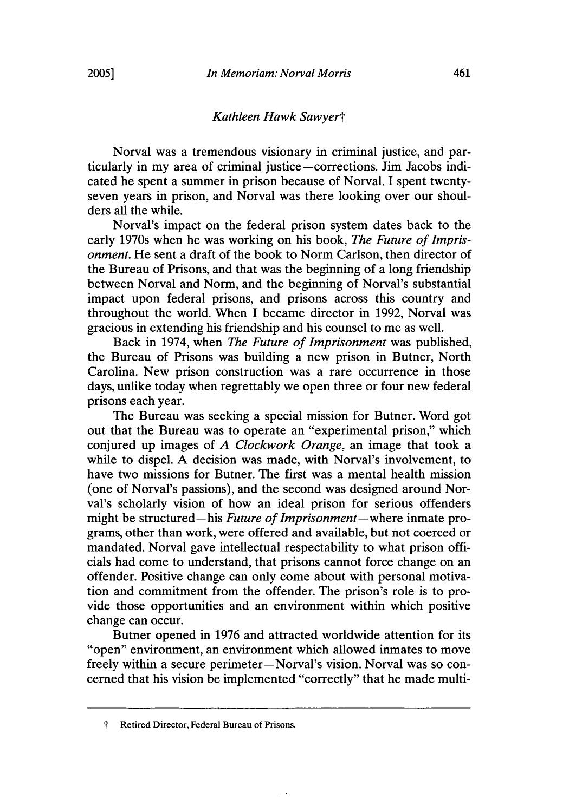#### *Kathleen Hawk Sawyert*

Norval was a tremendous visionary in criminal justice, and particularly in my area of criminal justice-corrections. Jim Jacobs indicated he spent a summer in prison because of Norval. I spent twentyseven years in prison, and Norval was there looking over our shoulders all the while.

Norval's impact on the federal prison system dates back to the early 1970s when he was working on his book, *The Future of Imprisonment.* He sent a draft of the book to Norm Carlson, then director of the Bureau of Prisons, and that was the beginning of a long friendship between Norval and Norm, and the beginning of Norval's substantial impact upon federal prisons, and prisons across this country and throughout the world. When I became director in 1992, Norval was gracious in extending his friendship and his counsel to me as well.

Back in 1974, when *The Future of Imprisonment* was published, the Bureau of Prisons was building a new prison in Butner, North Carolina. New prison construction was a rare occurrence in those days, unlike today when regrettably we open three or four new federal prisons each year.

The Bureau was seeking a special mission for Butner. Word got out that the Bureau was to operate an "experimental prison," which conjured up images of *A Clockwork Orange,* an image that took a while to dispel. A decision was made, with Norval's involvement, to have two missions for Butner. The first was a mental health mission (one of Norval's passions), and the second was designed around Norval's scholarly vision of how an ideal prison for serious offenders might be structured-his *Future of Imprisonment-where* inmate programs, other than work, were offered and available, but not coerced or mandated. Norval gave intellectual respectability to what prison officials had come to understand, that prisons cannot force change on an offender. Positive change can only come about with personal motivation and commitment from the offender. The prison's role is to provide those opportunities and an environment within which positive change can occur.

Butner opened in 1976 and attracted worldwide attention for its "open" environment, an environment which allowed inmates to move freely within a secure perimeter-Norval's vision. Norval was so concerned that his vision be implemented "correctly" that he made multi-

t Retired Director, Federal Bureau of Prisons.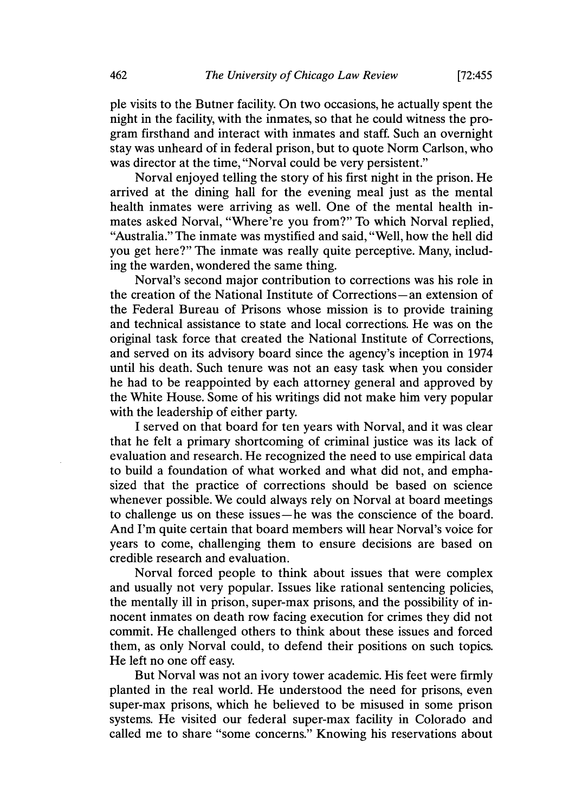pie visits to the Butner facility. On two occasions, he actually spent the night in the facility, with the inmates, so that he could witness the program firsthand and interact with inmates and staff. Such an overnight stay was unheard of in federal prison, but to quote Norm Carlson, who was director at the time, "Norval could be very persistent."

Norval enjoyed telling the story of his first night in the prison. He arrived at the dining hall for the evening meal just as the mental health inmates were arriving as well. One of the mental health inmates asked Norval, "Where're you from?" To which Norval replied, "Australia." The inmate was mystified and said, "Well, how the hell did you get here?" The inmate was really quite perceptive. Many, including the warden, wondered the same thing.

Norval's second major contribution to corrections was his role in the creation of the National Institute of Corrections-an extension of the Federal Bureau of Prisons whose mission is to provide training and technical assistance to state and local corrections. He was on the original task force that created the National Institute of Corrections, and served on its advisory board since the agency's inception in 1974 until his death. Such tenure was not an easy task when you consider he had to be reappointed by each attorney general and approved by the White House. Some of his writings did not make him very popular with the leadership of either party.

I served on that board for ten years with Norval, and it was clear that he felt a primary shortcoming of criminal justice was its lack of evaluation and research. He recognized the need to use empirical data to build a foundation of what worked and what did not, and emphasized that the practice of corrections should be based on science whenever possible. We could always rely on Norval at board meetings to challenge us on these issues-he was the conscience of the board. And I'm quite certain that board members will hear Norval's voice for years to come, challenging them to ensure decisions are based on credible research and evaluation.

Norval forced people to think about issues that were complex and usually not very popular. Issues like rational sentencing policies, the mentally ill in prison, super-max prisons, and the possibility of innocent inmates on death row facing execution for crimes they did not commit. He challenged others to think about these issues and forced them, as only Norval could, to defend their positions on such topics. He left no one off easy.

But Norval was not an ivory tower academic. His feet were firmly planted in the real world. He understood the need for prisons, even super-max prisons, which he believed to be misused in some prison systems. He visited our federal super-max facility in Colorado and called me to share "some concerns." Knowing his reservations about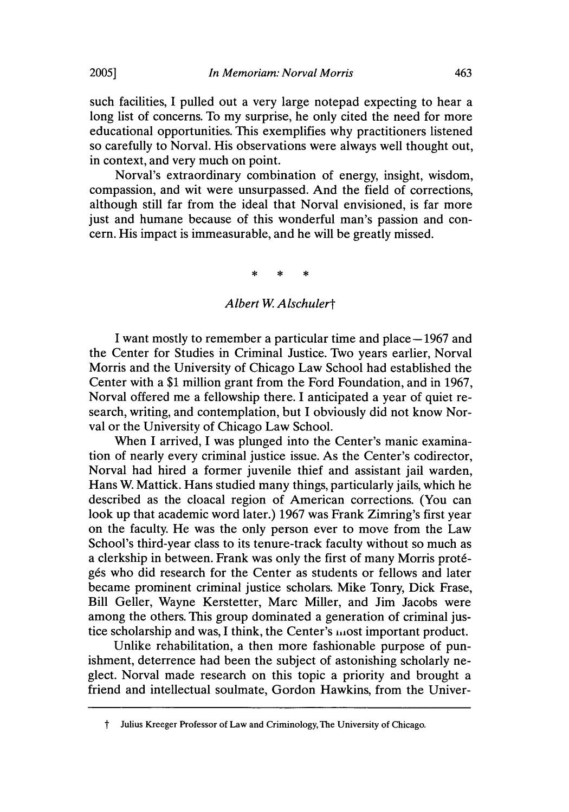such facilities, I pulled out a very large notepad expecting to hear a long list of concerns. To my surprise, he only cited the need for more educational opportunities. This exemplifies why practitioners listened so carefully to Norval. His observations were always well thought out, in context, and very much on point.

Norval's extraordinary combination of energy, insight, wisdom, compassion, and wit were unsurpassed. And the field of corrections, although still far from the ideal that Norval envisioned, is far more just and humane because of this wonderful man's passion and concern. His impact is immeasurable, and he will be greatly missed.

#### *Albert W Alschulert*

I want mostly to remember a particular time and place – 1967 and the Center for Studies in Criminal Justice. Two years earlier, Norval Morris and the University of Chicago Law School had established the Center with a \$1 million grant from the Ford Foundation, and in 1967, Norval offered me a fellowship there. I anticipated a year of quiet research, writing, and contemplation, but I obviously did not know Norval or the University of Chicago Law School.

When I arrived, I was plunged into the Center's manic examination of nearly every criminal justice issue. As the Center's codirector, Norval had hired a former juvenile thief and assistant jail warden, Hans W. Mattick. Hans studied many things, particularly jails, which he described as the cloacal region of American corrections. (You can look up that academic word later.) 1967 was Frank Zimring's first year on the faculty. He was the only person ever to move from the Law School's third-year class to its tenure-track faculty without so much as a clerkship in between. Frank was only the first of many Morris prot6 gés who did research for the Center as students or fellows and later became prominent criminal justice scholars. Mike Tonry, Dick Frase, Bill Geller, Wayne Kerstetter, Marc Miller, and Jim Jacobs were among the others. This group dominated a generation of criminal justice scholarship and was, I think, the Center's most important product.

Unlike rehabilitation, a then more fashionable purpose of punishment, deterrence had been the subject of astonishing scholarly neglect. Norval made research on this topic a priority and brought a friend and intellectual soulmate, Gordon Hawkins, from the Univer-

t Julius Kreeger Professor of Law and Criminology, The University of Chicago.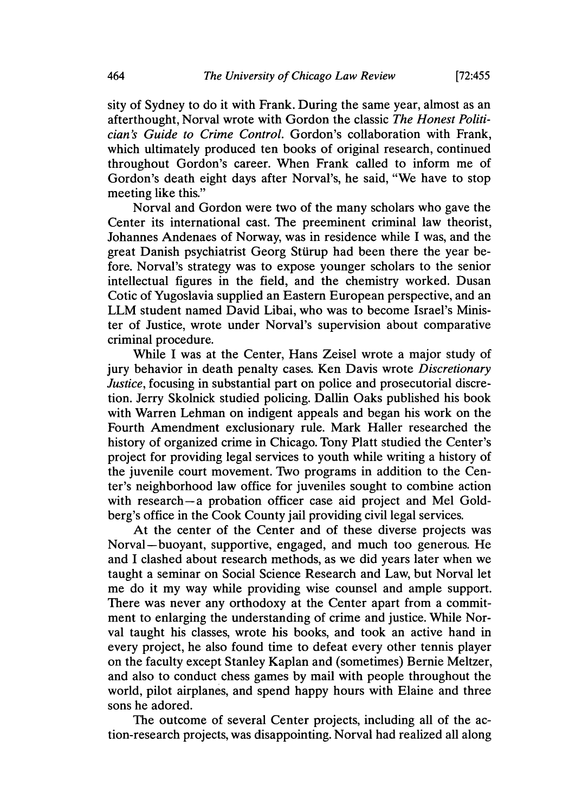**[72:455**

sity of Sydney to do it with Frank. During the same year, almost as an afterthought, Norval wrote with Gordon the classic *The Honest Politician's Guide to Crime Control.* Gordon's collaboration with Frank, which ultimately produced ten books of original research, continued throughout Gordon's career. When Frank called to inform me of Gordon's death eight days after Norval's, he said, "We have to stop meeting like this."

Norval and Gordon were two of the many scholars who gave the Center its international cast. The preeminent criminal law theorist, Johannes Andenaes of Norway, was in residence while I was, and the great Danish psychiatrist Georg Stdirup had been there the year before. Norval's strategy was to expose younger scholars to the senior intellectual figures in the field, and the chemistry worked. Dusan Cotic of Yugoslavia supplied an Eastern European perspective, and an LLM student named David Libai, who was to become Israel's Minister of Justice, wrote under Norval's supervision about comparative criminal procedure.

While I was at the Center, Hans Zeisel wrote a major study of jury behavior in death penalty cases. Ken Davis wrote *Discretionary Justice*, focusing in substantial part on police and prosecutorial discretion. Jerry Skolnick studied policing. Dallin Oaks published his book with Warren Lehman on indigent appeals and began his work on the Fourth Amendment exclusionary rule. Mark Haller researched the history of organized crime in Chicago. Tony Platt studied the Center's project for providing legal services to youth while writing a history of the juvenile court movement. Two programs in addition to the Center's neighborhood law office for juveniles sought to combine action with research-a probation officer case aid project and Mel Goldberg's office in the Cook County jail providing civil legal services.

At the center of the Center and of these diverse projects was Norval-buoyant, supportive, engaged, and much too generous. He and I clashed about research methods, as we did years later when we taught a seminar on Social Science Research and Law, but Norval let me do it my way while providing wise counsel and ample support. There was never any orthodoxy at the Center apart from a commitment to enlarging the understanding of crime and justice. While Norval taught his classes, wrote his books, and took an active hand in every project, he also found time to defeat every other tennis player on the faculty except Stanley Kaplan and (sometimes) Bernie Meltzer, and also to conduct chess games by mail with people throughout the world, pilot airplanes, and spend happy hours with Elaine and three sons he adored.

The outcome of several Center projects, including all of the action-research projects, was disappointing. Norval had realized all along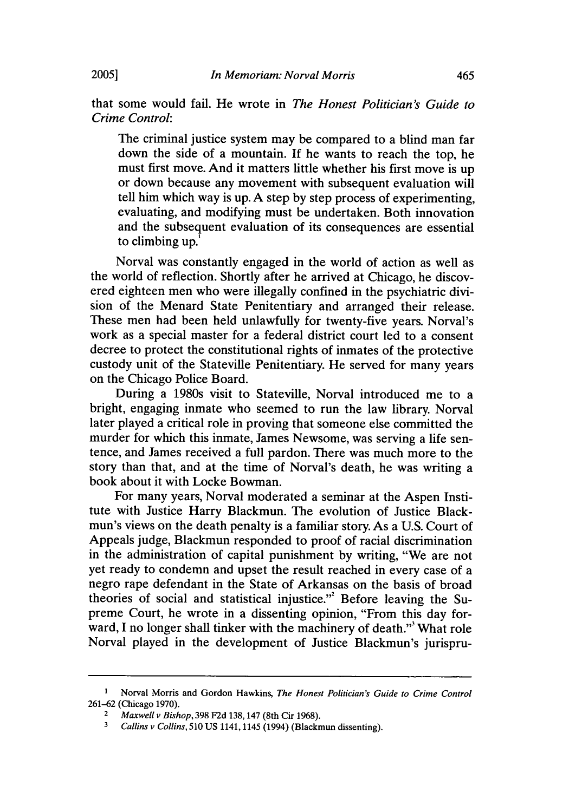that some would fail. He wrote in *The Honest Politician's Guide to Crime Control:*

The criminal justice system may be compared to a blind man far down the side of a mountain. If he wants to reach the top, he must first move. And it matters little whether his first move is up or down because any movement with subsequent evaluation will tell him which way is up. A step by step process of experimenting, evaluating, and modifying must be undertaken. Both innovation and the subsequent evaluation of its consequences are essential to climbing up.'

Norval was constantly engaged in the world of action as well as the world of reflection. Shortly after he arrived at Chicago, he discovered eighteen men who were illegally confined in the psychiatric division of the Menard State Penitentiary and arranged their release. These men had been held unlawfully for twenty-five years. Norval's work as a special master for a federal district court led to a consent decree to protect the constitutional rights of inmates of the protective custody unit of the Stateville Penitentiary. He served for many years on the Chicago Police Board.

During a 1980s visit to Stateville, Norval introduced me to a bright, engaging inmate who seemed to run the law library. Norval later played a critical role in proving that someone else committed the murder for which this inmate, James Newsome, was serving a life sentence, and James received a full pardon. There was much more to the story than that, and at the time of Norval's death, he was writing a book about it with Locke Bowman.

For many years, Norval moderated a seminar at the Aspen Institute with Justice Harry Blackmun. The evolution of Justice Blackmun's views on the death penalty is a familiar story. As a U.S. Court of Appeals judge, Blackmun responded to proof of racial discrimination in the administration of capital punishment by writing, "We are not yet ready to condemn and upset the result reached in every case of a negro rape defendant in the State of Arkansas on the basis of broad theories of social and statistical injustice."' Before leaving the Supreme Court, he wrote in a dissenting opinion, "From this day forward, I no longer shall tinker with the machinery of death."' What role Norval played in the development of Justice Blackmun's jurispru-

**<sup>1</sup>** Norval Morris and Gordon Hawkins, *The Honest Politician's Guide to Crime Control* 261-62 (Chicago 1970).

<sup>2</sup>*Maxwell v Bishop,* 398 F2d 138, 147 (8th Cir 1968).

**<sup>3</sup>***Callins v Collins,* 510 US 1141,1145 (1994) (Blackmun dissenting).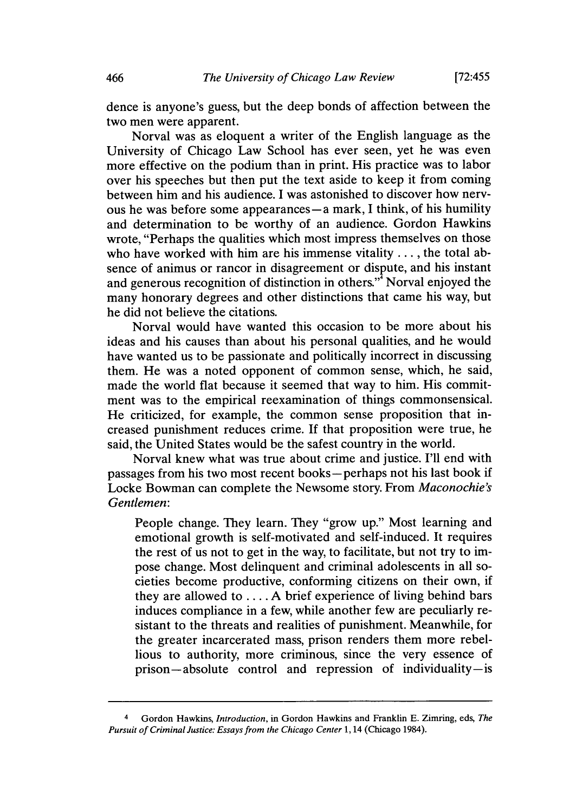dence is anyone's guess, but the deep bonds of affection between the two men were apparent.

Norval was as eloquent a writer of the English language as the University of Chicago Law School has ever seen, yet he was even more effective on the podium than in print. His practice was to labor over his speeches but then put the text aside to keep it from coming between him and his audience. I was astonished to discover how nervous he was before some appearances **-a** mark, I think, of his humility and determination to be worthy of an audience. Gordon Hawkins wrote, "Perhaps the qualities which most impress themselves on those who have worked with him are his immense vitality .... the total absence of animus or rancor in disagreement or dispute, and his instant and generous recognition of distinction in others.<sup>3</sup> Norval enjoyed the many honorary degrees and other distinctions that came his way, but he did not believe the citations.

Norval would have wanted this occasion to be more about his ideas and his causes than about his personal qualities, and he would have wanted us to be passionate and politically incorrect in discussing them. He was a noted opponent of common sense, which, he said, made the world flat because it seemed that way to him. His commitment was to the empirical reexamination of things commonsensical. He criticized, for example, the common sense proposition that increased punishment reduces crime. If that proposition were true, he said, the United States would be the safest country in the world.

Norval knew what was true about crime and justice. I'll end with passages from his two most recent books-perhaps not his last book if Locke Bowman can complete the Newsome story. From *Maconochie's Gentlemen:*

People change. They learn. They "grow up." Most learning and emotional growth is self-motivated and self-induced. It requires the rest of us not to get in the way, to facilitate, but not try to impose change. Most delinquent and criminal adolescents in all societies become productive, conforming citizens on their own, if they are allowed to .... A brief experience of living behind bars induces compliance in a few, while another few are peculiarly resistant to the threats and realities of punishment. Meanwhile, for the greater incarcerated mass, prison renders them more rebellious to authority, more criminous, since the very essence of prison-absolute control and repression of individuality -is

<sup>4</sup> Gordon Hawkins, *Introduction,* in Gordon Hawkins and Franklin **E.** Zimring, eds, *The Pursuit of Criminal Justice: Essays from the Chicago Center* **1,** 14 (Chicago 1984).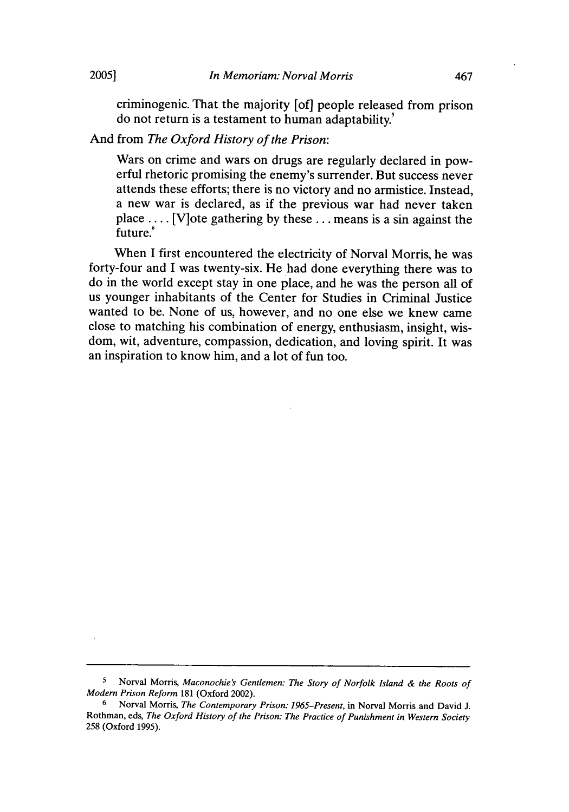criminogenic. That the majority [of] people released from prison do not return is a testament to human adaptability.'

#### And from *The Oxford History of the Prison:*

Wars on crime and wars on drugs are regularly declared in powerful rhetoric promising the enemy's surrender. But success never attends these efforts; there is no victory and no armistice. Instead, a new war is declared, as if the previous war had never taken place .... [V]ote gathering by these **...** means is a sin against the future.'

When I first encountered the electricity of Norval Morris, he was forty-four and I was twenty-six. He had done everything there was to do in the world except stay in one place, and he was the person all of us younger inhabitants of the Center for Studies in Criminal Justice wanted to be. None of us, however, and no one else we knew came close to matching his combination of energy, enthusiasm, insight, wisdom, wit, adventure, compassion, dedication, and loving spirit. It was an inspiration to know him, and a lot of fun too.

<sup>5</sup>Norval Morris, *Maconochie's Gentlemen: The Story of Norfolk Island & the Roots of Modern Prison Reform* 181 (Oxford 2002).

<sup>6</sup>Norval Morris, *The Contemporary Prison: 1965-Present,* in Norval Morris and David J. Rothman, eds, *The Oxford History of the Prison: The Practice of Punishment in Western Society* 258 (Oxford 1995).